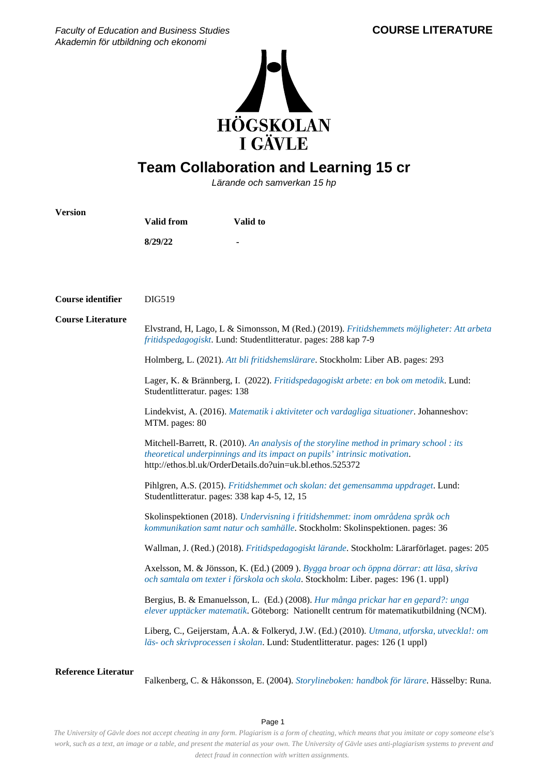

## **Team Collaboration and Learning 15 cr**

Lärande och samverkan 15 hp

| <b>Version</b>             | <b>Valid from</b>                                                                                                                                                                                                                                                                                                                                                                                                                                                                                                                                                                                                                                                                                                                                                                                                                                                                | Valid to                                                                                                                                                                      |  |
|----------------------------|----------------------------------------------------------------------------------------------------------------------------------------------------------------------------------------------------------------------------------------------------------------------------------------------------------------------------------------------------------------------------------------------------------------------------------------------------------------------------------------------------------------------------------------------------------------------------------------------------------------------------------------------------------------------------------------------------------------------------------------------------------------------------------------------------------------------------------------------------------------------------------|-------------------------------------------------------------------------------------------------------------------------------------------------------------------------------|--|
|                            | 8/29/22                                                                                                                                                                                                                                                                                                                                                                                                                                                                                                                                                                                                                                                                                                                                                                                                                                                                          |                                                                                                                                                                               |  |
|                            |                                                                                                                                                                                                                                                                                                                                                                                                                                                                                                                                                                                                                                                                                                                                                                                                                                                                                  |                                                                                                                                                                               |  |
|                            |                                                                                                                                                                                                                                                                                                                                                                                                                                                                                                                                                                                                                                                                                                                                                                                                                                                                                  |                                                                                                                                                                               |  |
| <b>Course identifier</b>   | DIG519                                                                                                                                                                                                                                                                                                                                                                                                                                                                                                                                                                                                                                                                                                                                                                                                                                                                           |                                                                                                                                                                               |  |
| <b>Course Literature</b>   | Elvstrand, H, Lago, L & Simonsson, M (Red.) (2019). Fritidshemmets möjligheter: Att arbeta<br>fritidspedagogiskt. Lund: Studentlitteratur. pages: 288 kap 7-9                                                                                                                                                                                                                                                                                                                                                                                                                                                                                                                                                                                                                                                                                                                    |                                                                                                                                                                               |  |
|                            |                                                                                                                                                                                                                                                                                                                                                                                                                                                                                                                                                                                                                                                                                                                                                                                                                                                                                  | Holmberg, L. (2021). Att bli fritidshemslärare. Stockholm: Liber AB. pages: 293                                                                                               |  |
|                            | Lager, K. & Brännberg, I. (2022). Fritidspedagogiskt arbete: en bok om metodik. Lund:<br>Studentlitteratur. pages: 138<br>Lindekvist, A. (2016). Matematik i aktiviteter och vardagliga situationer. Johanneshov:<br>MTM. pages: 80<br>Mitchell-Barrett, R. (2010). An analysis of the storyline method in primary school : its<br>theoretical underpinnings and its impact on pupils' intrinsic motivation.<br>http://ethos.bl.uk/OrderDetails.do?uin=uk.bl.ethos.525372<br>Pihlgren, A.S. (2015). Fritidshemmet och skolan: det gemensamma uppdraget. Lund:<br>Studentlitteratur. pages: 338 kap 4-5, 12, 15<br>Skolinspektionen (2018). Undervisning i fritidshemmet: inom områdena språk och<br>kommunikation samt natur och samhälle. Stockholm: Skolinspektionen. pages: 36<br>Wallman, J. (Red.) (2018). Fritidspedagogiskt lärande. Stockholm: Lärarförlaget. pages: 205 |                                                                                                                                                                               |  |
|                            |                                                                                                                                                                                                                                                                                                                                                                                                                                                                                                                                                                                                                                                                                                                                                                                                                                                                                  |                                                                                                                                                                               |  |
|                            |                                                                                                                                                                                                                                                                                                                                                                                                                                                                                                                                                                                                                                                                                                                                                                                                                                                                                  |                                                                                                                                                                               |  |
|                            |                                                                                                                                                                                                                                                                                                                                                                                                                                                                                                                                                                                                                                                                                                                                                                                                                                                                                  |                                                                                                                                                                               |  |
|                            |                                                                                                                                                                                                                                                                                                                                                                                                                                                                                                                                                                                                                                                                                                                                                                                                                                                                                  |                                                                                                                                                                               |  |
|                            |                                                                                                                                                                                                                                                                                                                                                                                                                                                                                                                                                                                                                                                                                                                                                                                                                                                                                  |                                                                                                                                                                               |  |
|                            |                                                                                                                                                                                                                                                                                                                                                                                                                                                                                                                                                                                                                                                                                                                                                                                                                                                                                  | Axelsson, M. & Jönsson, K. (Ed.) (2009). Bygga broar och öppna dörrar: att läsa, skriva<br>och samtala om texter i förskola och skola. Stockholm: Liber. pages: 196 (1. uppl) |  |
|                            |                                                                                                                                                                                                                                                                                                                                                                                                                                                                                                                                                                                                                                                                                                                                                                                                                                                                                  | Bergius, B. & Emanuelsson, L. (Ed.) (2008). Hur många prickar har en gepard?: unga<br>elever upptäcker matematik. Göteborg: Nationellt centrum för matematikutbildning (NCM). |  |
|                            |                                                                                                                                                                                                                                                                                                                                                                                                                                                                                                                                                                                                                                                                                                                                                                                                                                                                                  | Liberg, C., Geijerstam, Å.A. & Folkeryd, J.W. (Ed.) (2010). Utmana, utforska, utveckla!: om<br>läs- och skrivprocessen i skolan. Lund: Studentlitteratur. pages: 126 (1 uppl) |  |
| <b>Reference Literatur</b> |                                                                                                                                                                                                                                                                                                                                                                                                                                                                                                                                                                                                                                                                                                                                                                                                                                                                                  | Falkenberg, C. & Håkonsson, E. (2004). Storylineboken: handbok för lärare. Hässelby: Runa.                                                                                    |  |

Page 1

*The University of Gävle does not accept cheating in any form. Plagiarism is a form of cheating, which means that you imitate or copy someone else's work, such as a text, an image or a table, and present the material as your own. The University of Gävle uses anti-plagiarism systems to prevent and detect fraud in connection with written assignments.*